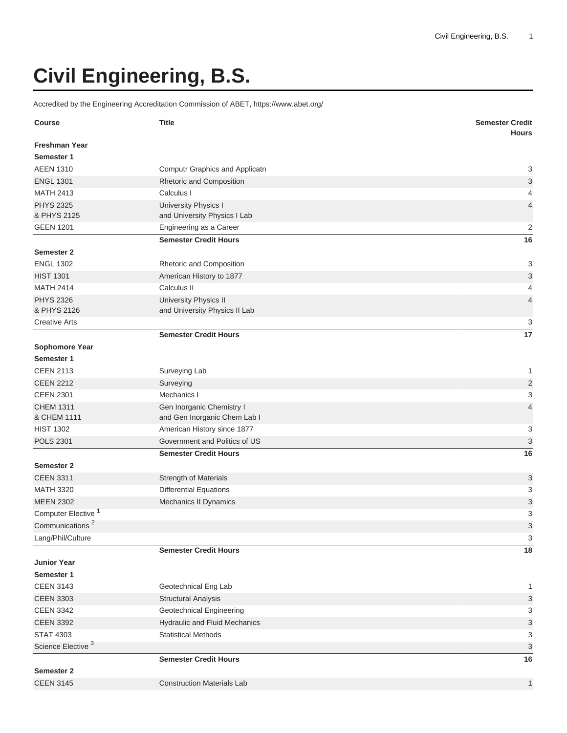## **Civil Engineering, B.S.**

Accredited by the Engineering Accreditation Commission of ABET, <https://www.abet.org/>

| <b>Course</b>                   | <b>Title</b>                                         | <b>Semester Credit</b><br><b>Hours</b> |
|---------------------------------|------------------------------------------------------|----------------------------------------|
| <b>Freshman Year</b>            |                                                      |                                        |
| Semester 1                      |                                                      |                                        |
| <b>AEEN 1310</b>                | Computr Graphics and Applicatn                       | 3                                      |
| <b>ENGL 1301</b>                | Rhetoric and Composition                             | 3                                      |
| <b>MATH 2413</b>                | Calculus I                                           | 4                                      |
| <b>PHYS 2325</b><br>& PHYS 2125 | University Physics I<br>and University Physics I Lab | $\overline{4}$                         |
| <b>GEEN 1201</b>                | Engineering as a Career                              | $\overline{2}$                         |
|                                 | <b>Semester Credit Hours</b>                         | 16                                     |
| Semester 2                      |                                                      |                                        |
| <b>ENGL 1302</b>                | Rhetoric and Composition                             | 3                                      |
| <b>HIST 1301</b>                | American History to 1877                             | $\ensuremath{\mathsf{3}}$              |
| <b>MATH 2414</b>                | Calculus II                                          | 4                                      |
| <b>PHYS 2326</b>                | University Physics II                                | $\overline{4}$                         |
| & PHYS 2126                     | and University Physics II Lab                        |                                        |
| <b>Creative Arts</b>            |                                                      | 3                                      |
|                                 | <b>Semester Credit Hours</b>                         | 17                                     |
| Sophomore Year                  |                                                      |                                        |
| Semester 1                      |                                                      |                                        |
| <b>CEEN 2113</b>                | Surveying Lab                                        | 1                                      |
| <b>CEEN 2212</b>                | Surveying                                            | $\overline{c}$                         |
| <b>CEEN 2301</b>                | Mechanics I                                          | 3                                      |
| <b>CHEM 1311</b>                | Gen Inorganic Chemistry I                            | $\overline{4}$                         |
| & CHEM 1111                     | and Gen Inorganic Chem Lab I                         |                                        |
| <b>HIST 1302</b>                | American History since 1877                          | 3                                      |
| <b>POLS 2301</b>                | Government and Politics of US                        | 3                                      |
|                                 | <b>Semester Credit Hours</b>                         | 16                                     |
| Semester 2                      |                                                      |                                        |
| <b>CEEN 3311</b>                | Strength of Materials                                | 3                                      |
| <b>MATH 3320</b>                | <b>Differential Equations</b>                        | 3                                      |
| <b>MEEN 2302</b>                | Mechanics II Dynamics                                | 3                                      |
| Computer Elective <sup>1</sup>  |                                                      | 3                                      |
| Communications <sup>2</sup>     |                                                      | $\ensuremath{\mathsf{3}}$              |
| Lang/Phil/Culture               |                                                      | 3                                      |
|                                 | <b>Semester Credit Hours</b>                         | 18                                     |
| <b>Junior Year</b>              |                                                      |                                        |
| Semester 1                      |                                                      |                                        |
| <b>CEEN 3143</b>                | Geotechnical Eng Lab                                 | 1                                      |
| <b>CEEN 3303</b>                | <b>Structural Analysis</b>                           | 3                                      |
| <b>CEEN 3342</b>                | Geotechnical Engineering                             | 3                                      |
| <b>CEEN 3392</b>                | Hydraulic and Fluid Mechanics                        | 3                                      |
| <b>STAT 4303</b>                | <b>Statistical Methods</b>                           | 3                                      |
| Science Elective <sup>3</sup>   |                                                      | $\ensuremath{\mathsf{3}}$              |
|                                 | <b>Semester Credit Hours</b>                         | 16                                     |
| Semester 2                      |                                                      |                                        |
| <b>CEEN 3145</b>                | <b>Construction Materials Lab</b>                    | $\mathbf{1}$                           |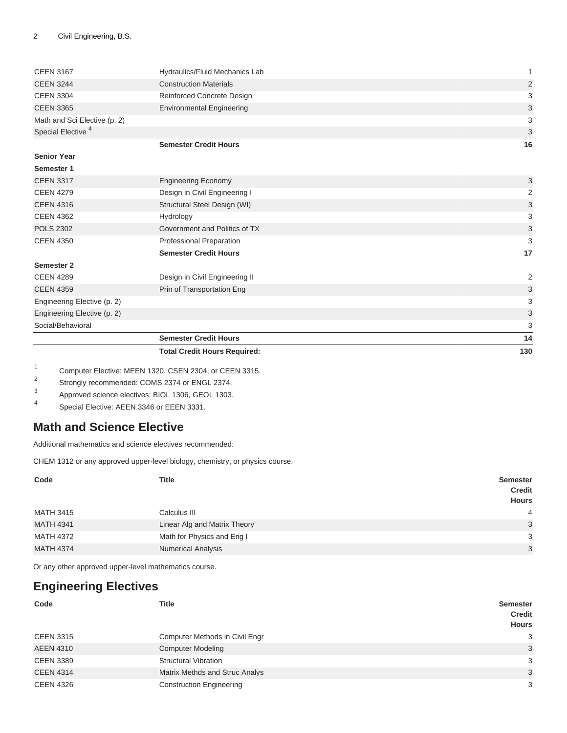|                               | <b>Total Credit Hours Required:</b> | 130                       |
|-------------------------------|-------------------------------------|---------------------------|
|                               | <b>Semester Credit Hours</b>        | 14                        |
| Social/Behavioral             |                                     | 3                         |
| Engineering Elective (p. 2)   |                                     | 3                         |
| Engineering Elective (p. 2)   |                                     | 3                         |
| <b>CEEN 4359</b>              | Prin of Transportation Eng          | 3                         |
| <b>CEEN 4289</b>              | Design in Civil Engineering II      | 2                         |
| Semester 2                    |                                     |                           |
|                               | <b>Semester Credit Hours</b>        | 17                        |
| <b>CEEN 4350</b>              | Professional Preparation            | 3                         |
| <b>POLS 2302</b>              | Government and Politics of TX       | 3                         |
| <b>CEEN 4362</b>              | Hydrology                           | 3                         |
| <b>CEEN 4316</b>              | Structural Steel Design (WI)        | 3                         |
| <b>CEEN 4279</b>              | Design in Civil Engineering I       | 2                         |
| <b>CEEN 3317</b>              | <b>Engineering Economy</b>          | 3                         |
| Semester 1                    |                                     |                           |
| <b>Senior Year</b>            |                                     |                           |
|                               | <b>Semester Credit Hours</b>        | 16                        |
| Special Elective <sup>4</sup> |                                     | 3                         |
| Math and Sci Elective (p. 2)  |                                     | 3                         |
| <b>CEEN 3365</b>              | <b>Environmental Engineering</b>    | $\ensuremath{\mathsf{3}}$ |
| <b>CEEN 3304</b>              | Reinforced Concrete Design          | 3                         |
| <b>CEEN 3244</b>              | <b>Construction Materials</b>       | 2                         |
| <b>CEEN 3167</b>              | Hydraulics/Fluid Mechanics Lab      | 1                         |
|                               |                                     |                           |

1 Computer Elective: MEEN 1320, CSEN 2304, or CEEN 3315.

2 Strongly recommended: COMS 2374 or ENGL 2374.

- 3 Approved science electives: BIOL 1306, GEOL 1303.
- 4 Special Elective: AEEN 3346 or EEEN 3331.

## <span id="page-1-0"></span>**Math and Science Elective**

Additional mathematics and science electives recommended:

CHEM 1312 or any approved upper-level biology, chemistry, or physics course.

| Code             | <b>Title</b>                 | <b>Semester</b><br><b>Credit</b><br>Hours |
|------------------|------------------------------|-------------------------------------------|
| <b>MATH 3415</b> | Calculus III                 | $\overline{4}$                            |
| <b>MATH 4341</b> | Linear Alg and Matrix Theory | 3                                         |
| <b>MATH 4372</b> | Math for Physics and Eng I   | 3                                         |
| <b>MATH 4374</b> | <b>Numerical Analysis</b>    | 3                                         |

<span id="page-1-1"></span>Or any other approved upper-level mathematics course.

## **Engineering Electives**

| Code             | <b>Title</b>                    | <b>Semester</b><br><b>Credit</b><br><b>Hours</b> |
|------------------|---------------------------------|--------------------------------------------------|
| <b>CEEN 3315</b> | Computer Methods in Civil Engr  | 3                                                |
| <b>AEEN 4310</b> | <b>Computer Modeling</b>        | 3                                                |
| <b>CEEN 3389</b> | <b>Structural Vibration</b>     | 3                                                |
| <b>CEEN 4314</b> | Matrix Methds and Struc Analys  | 3                                                |
| <b>CEEN 4326</b> | <b>Construction Engineering</b> | 3                                                |